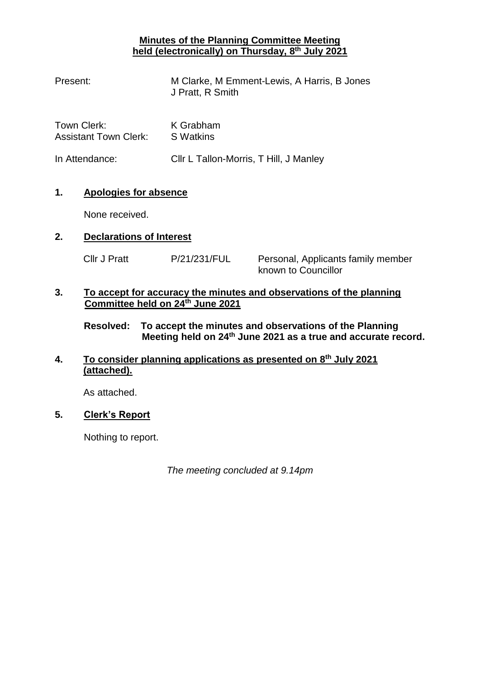## **Minutes of the Planning Committee Meeting held (electronically) on Thursday, 8 th July 2021**

| Present:                                    | M Clarke, M Emment-Lewis, A Harris, B Jones<br>J Pratt, R Smith |
|---------------------------------------------|-----------------------------------------------------------------|
| Town Clerk:<br><b>Assistant Town Clerk:</b> | K Grabham<br>S Watkins                                          |
| In Attendance:                              | Cllr L Tallon-Morris, T Hill, J Manley                          |

# **1. Apologies for absence**

None received.

## **2. Declarations of Interest**

Cllr J Pratt P/21/231/FUL Personal, Applicants family member

known to Councillor

## **3. To accept for accuracy the minutes and observations of the planning Committee held on 24th June 2021**

**Resolved: To accept the minutes and observations of the Planning Meeting held on 24th June 2021 as a true and accurate record.**

## **4. To consider planning applications as presented on 8 th July 2021 (attached).**

As attached.

# **5. Clerk's Report**

Nothing to report.

*The meeting concluded at 9.14pm*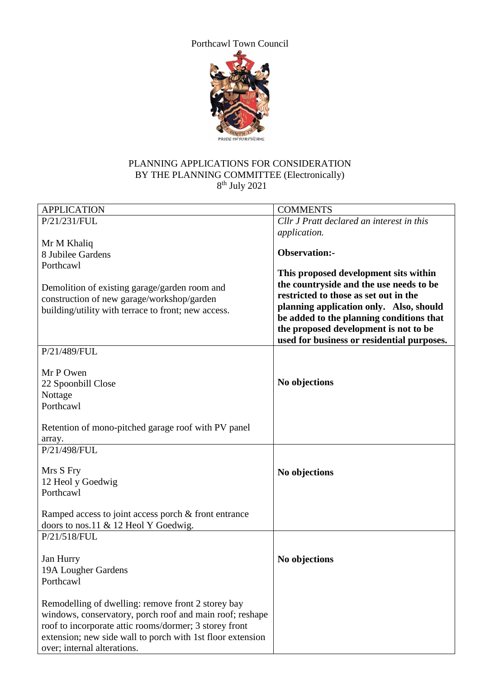

### PLANNING APPLICATIONS FOR CONSIDERATION BY THE PLANNING COMMITTEE (Electronically) 8 th July 2021

| <b>APPLICATION</b>                                                                                                                                                                                                                                                    | <b>COMMENTS</b>                                                                                                                                                                                                                                                                                         |
|-----------------------------------------------------------------------------------------------------------------------------------------------------------------------------------------------------------------------------------------------------------------------|---------------------------------------------------------------------------------------------------------------------------------------------------------------------------------------------------------------------------------------------------------------------------------------------------------|
| P/21/231/FUL                                                                                                                                                                                                                                                          | Cllr J Pratt declared an interest in this                                                                                                                                                                                                                                                               |
|                                                                                                                                                                                                                                                                       | application.                                                                                                                                                                                                                                                                                            |
| Mr M Khaliq                                                                                                                                                                                                                                                           |                                                                                                                                                                                                                                                                                                         |
| 8 Jubilee Gardens                                                                                                                                                                                                                                                     | <b>Observation:-</b>                                                                                                                                                                                                                                                                                    |
| Porthcawl                                                                                                                                                                                                                                                             |                                                                                                                                                                                                                                                                                                         |
| Demolition of existing garage/garden room and<br>construction of new garage/workshop/garden<br>building/utility with terrace to front; new access.                                                                                                                    | This proposed development sits within<br>the countryside and the use needs to be<br>restricted to those as set out in the<br>planning application only. Also, should<br>be added to the planning conditions that<br>the proposed development is not to be<br>used for business or residential purposes. |
| P/21/489/FUL                                                                                                                                                                                                                                                          |                                                                                                                                                                                                                                                                                                         |
| Mr P Owen<br>22 Spoonbill Close<br>Nottage<br>Porthcawl                                                                                                                                                                                                               | No objections                                                                                                                                                                                                                                                                                           |
| Retention of mono-pitched garage roof with PV panel                                                                                                                                                                                                                   |                                                                                                                                                                                                                                                                                                         |
| array.                                                                                                                                                                                                                                                                |                                                                                                                                                                                                                                                                                                         |
| P/21/498/FUL                                                                                                                                                                                                                                                          |                                                                                                                                                                                                                                                                                                         |
| Mrs S Fry<br>12 Heol y Goedwig<br>Porthcawl<br>Ramped access to joint access porch & front entrance                                                                                                                                                                   | No objections                                                                                                                                                                                                                                                                                           |
| doors to nos.11 & 12 Heol Y Goedwig.                                                                                                                                                                                                                                  |                                                                                                                                                                                                                                                                                                         |
| P/21/518/FUL                                                                                                                                                                                                                                                          |                                                                                                                                                                                                                                                                                                         |
| Jan Hurry<br>19A Lougher Gardens<br>Porthcawl                                                                                                                                                                                                                         | No objections                                                                                                                                                                                                                                                                                           |
| Remodelling of dwelling: remove front 2 storey bay<br>windows, conservatory, porch roof and main roof; reshape<br>roof to incorporate attic rooms/dormer; 3 storey front<br>extension; new side wall to porch with 1st floor extension<br>over; internal alterations. |                                                                                                                                                                                                                                                                                                         |